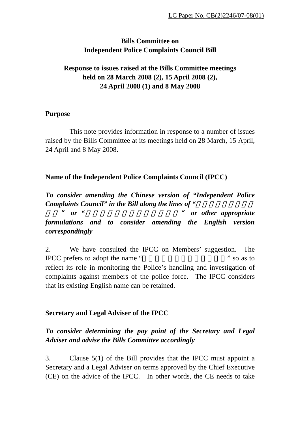## **Bills Committee on Independent Police Complaints Council Bill**

# **Response to issues raised at the Bills Committee meetings held on 28 March 2008 (2), 15 April 2008 (2), 24 April 2008 (1) and 8 May 2008**

### **Purpose**

 This note provides information in response to a number of issues raised by the Bills Committee at its meetings held on 28 March, 15 April, 24 April and 8 May 2008.

## **Name of the Independent Police Complaints Council (IPCC)**

*To consider amending the Chinese version of "Independent Police Complaints Council" in the Bill along the lines of* "

員會" *or "*監察警方處理投訴獨立委員會" *or other appropriate formulations and to consider amending the English version correspondingly* 

2. We have consulted the IPCC on Members' suggestion. The IPCC prefers to adopt the name " so as to " reflect its role in monitoring the Police's handling and investigation of complaints against members of the police force. The IPCC considers that its existing English name can be retained.

## **Secretary and Legal Adviser of the IPCC**

# *To consider determining the pay point of the Secretary and Legal Adviser and advise the Bills Committee accordingly*

3. Clause 5(1) of the Bill provides that the IPCC must appoint a Secretary and a Legal Adviser on terms approved by the Chief Executive (CE) on the advice of the IPCC. In other words, the CE needs to take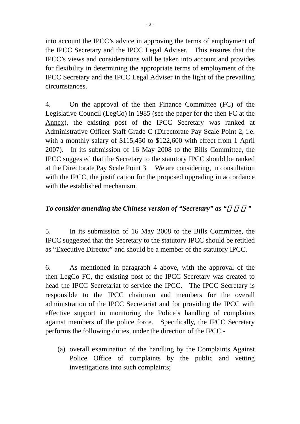into account the IPCC's advice in approving the terms of employment of the IPCC Secretary and the IPCC Legal Adviser. This ensures that the IPCC's views and considerations will be taken into account and provides for flexibility in determining the appropriate terms of employment of the IPCC Secretary and the IPCC Legal Adviser in the light of the prevailing circumstances.

4. On the approval of the then Finance Committee (FC) of the Legislative Council (LegCo) in 1985 (see the paper for the then FC at the Annex), the existing post of the IPCC Secretary was ranked at Administrative Officer Staff Grade C (Directorate Pay Scale Point 2, i.e. with a monthly salary of \$115,450 to \$122,600 with effect from 1 April 2007). In its submission of 16 May 2008 to the Bills Committee, the IPCC suggested that the Secretary to the statutory IPCC should be ranked at the Directorate Pay Scale Point 3. We are considering, in consultation with the IPCC, the justification for the proposed upgrading in accordance with the established mechanism.

## *To consider amending the Chinese version of "Secretary" as "*

5. In its submission of 16 May 2008 to the Bills Committee, the IPCC suggested that the Secretary to the statutory IPCC should be retitled as "Executive Director" and should be a member of the statutory IPCC.

6. As mentioned in paragraph 4 above, with the approval of the then LegCo FC, the existing post of the IPCC Secretary was created to head the IPCC Secretariat to service the IPCC. The IPCC Secretary is responsible to the IPCC chairman and members for the overall administration of the IPCC Secretariat and for providing the IPCC with effective support in monitoring the Police's handling of complaints against members of the police force. Specifically, the IPCC Secretary performs the following duties, under the direction of the IPCC -

(a) overall examination of the handling by the Complaints Against Police Office of complaints by the public and vetting investigations into such complaints;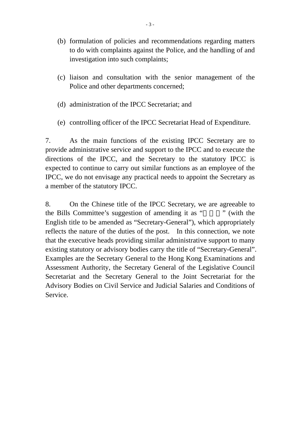- (b) formulation of policies and recommendations regarding matters to do with complaints against the Police, and the handling of and investigation into such complaints;
- (c) liaison and consultation with the senior management of the Police and other departments concerned;
- (d) administration of the IPCC Secretariat; and
- (e) controlling officer of the IPCC Secretariat Head of Expenditure.

7. As the main functions of the existing IPCC Secretary are to provide administrative service and support to the IPCC and to execute the directions of the IPCC, and the Secretary to the statutory IPCC is expected to continue to carry out similar functions as an employee of the IPCC, we do not envisage any practical needs to appoint the Secretary as a member of the statutory IPCC.

8. On the Chinese title of the IPCC Secretary, we are agreeable to the Bills Committee's suggestion of amending it as " with the English title to be amended as "Secretary-General"), which appropriately reflects the nature of the duties of the post. In this connection, we note that the executive heads providing similar administrative support to many existing statutory or advisory bodies carry the title of "Secretary-General". Examples are the Secretary General to the Hong Kong Examinations and Assessment Authority, the Secretary General of the Legislative Council Secretariat and the Secretary General to the Joint Secretariat for the Advisory Bodies on Civil Service and Judicial Salaries and Conditions of Service.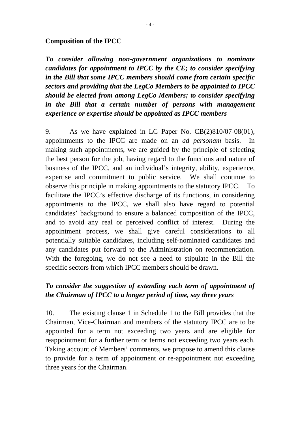### **Composition of the IPCC**

*To consider allowing non-government organizations to nominate candidates for appointment to IPCC by the CE; to consider specifying in the Bill that some IPCC members should come from certain specific sectors and providing that the LegCo Members to be appointed to IPCC should be elected from among LegCo Members; to consider specifying in the Bill that a certain number of persons with management experience or expertise should be appointed as IPCC members* 

9. As we have explained in LC Paper No. CB(2)810/07-08(01), appointments to the IPCC are made on an *ad personam* basis. In making such appointments, we are guided by the principle of selecting the best person for the job, having regard to the functions and nature of business of the IPCC, and an individual's integrity, ability, experience, expertise and commitment to public service. We shall continue to observe this principle in making appointments to the statutory IPCC. To facilitate the IPCC's effective discharge of its functions, in considering appointments to the IPCC, we shall also have regard to potential candidates' background to ensure a balanced composition of the IPCC, and to avoid any real or perceived conflict of interest. During the appointment process, we shall give careful considerations to all potentially suitable candidates, including self-nominated candidates and any candidates put forward to the Administration on recommendation. With the foregoing, we do not see a need to stipulate in the Bill the specific sectors from which IPCC members should be drawn.

## *To consider the suggestion of extending each term of appointment of the Chairman of IPCC to a longer period of time, say three years*

10. The existing clause 1 in Schedule 1 to the Bill provides that the Chairman, Vice-Chairman and members of the statutory IPCC are to be appointed for a term not exceeding two years and are eligible for reappointment for a further term or terms not exceeding two years each. Taking account of Members' comments, we propose to amend this clause to provide for a term of appointment or re-appointment not exceeding three years for the Chairman.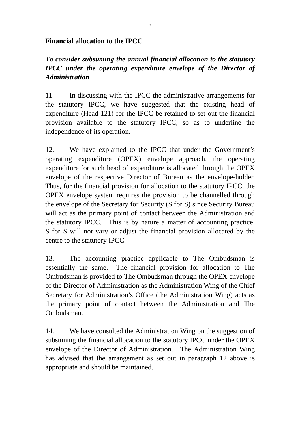## **Financial allocation to the IPCC**

# *To consider subsuming the annual financial allocation to the statutory IPCC under the operating expenditure envelope of the Director of Administration*

11. In discussing with the IPCC the administrative arrangements for the statutory IPCC, we have suggested that the existing head of expenditure (Head 121) for the IPCC be retained to set out the financial provision available to the statutory IPCC, so as to underline the independence of its operation.

12. We have explained to the IPCC that under the Government's operating expenditure (OPEX) envelope approach, the operating expenditure for such head of expenditure is allocated through the OPEX envelope of the respective Director of Bureau as the envelope-holder. Thus, for the financial provision for allocation to the statutory IPCC, the OPEX envelope system requires the provision to be channelled through the envelope of the Secretary for Security (S for S) since Security Bureau will act as the primary point of contact between the Administration and the statutory IPCC. This is by nature a matter of accounting practice. S for S will not vary or adjust the financial provision allocated by the centre to the statutory IPCC.

13. The accounting practice applicable to The Ombudsman is essentially the same. The financial provision for allocation to The Ombudsman is provided to The Ombudsman through the OPEX envelope of the Director of Administration as the Administration Wing of the Chief Secretary for Administration's Office (the Administration Wing) acts as the primary point of contact between the Administration and The Ombudsman.

14. We have consulted the Administration Wing on the suggestion of subsuming the financial allocation to the statutory IPCC under the OPEX envelope of the Director of Administration. The Administration Wing has advised that the arrangement as set out in paragraph 12 above is appropriate and should be maintained.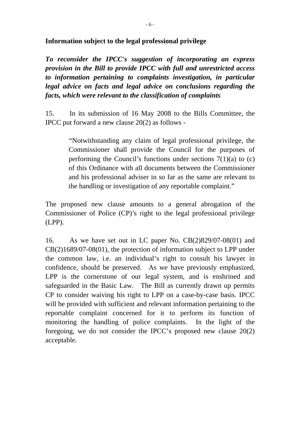**Information subject to the legal professional privilege** 

*To reconsider the IPCC's suggestion of incorporating an express provision in the Bill to provide IPCC with full and unrestricted access to information pertaining to complaints investigation, in particular legal advice on facts and legal advice on conclusions regarding the facts, which were relevant to the classification of complaints* 

15. In its submission of 16 May 2008 to the Bills Committee, the IPCC put forward a new clause 20(2) as follows -

> "Notwithstanding any claim of legal professional privilege, the Commissioner shall provide the Council for the purposes of performing the Council's functions under sections  $7(1)(a)$  to (c) of this Ordinance with all documents between the Commissioner and his professional adviser in so far as the same are relevant to the handling or investigation of any reportable complaint."

The proposed new clause amounts to a general abrogation of the Commissioner of Police (CP)'s right to the legal professional privilege (LPP).

16. As we have set out in LC paper No. CB(2)829/07-08(01) and CB(2)1689/07-08(01), the protection of information subject to LPP under the common law, i.e. an individual's right to consult his lawyer in confidence, should be preserved. As we have previously emphasized, LPP is the cornerstone of our legal system, and is enshrined and safeguarded in the Basic Law. The Bill as currently drawn up permits CP to consider waiving his right to LPP on a case-by-case basis. IPCC will be provided with sufficient and relevant information pertaining to the reportable complaint concerned for it to perform its function of monitoring the handling of police complaints. In the light of the foregoing, we do not consider the IPCC's proposed new clause 20(2) acceptable.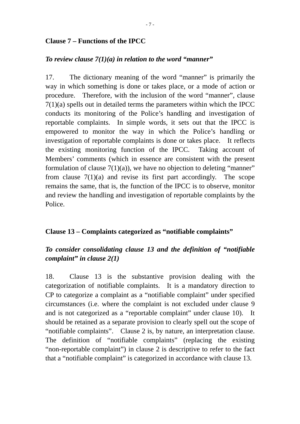### **Clause 7 – Functions of the IPCC**

## *To review clause 7(1)(a) in relation to the word "manner"*

17. The dictionary meaning of the word "manner" is primarily the way in which something is done or takes place, or a mode of action or procedure. Therefore, with the inclusion of the word "manner", clause  $7(1)(a)$  spells out in detailed terms the parameters within which the IPCC conducts its monitoring of the Police's handling and investigation of reportable complaints. In simple words, it sets out that the IPCC is empowered to monitor the way in which the Police's handling or investigation of reportable complaints is done or takes place. It reflects the existing monitoring function of the IPCC. Taking account of Members' comments (which in essence are consistent with the present formulation of clause  $7(1)(a)$ , we have no objection to deleting "manner" from clause  $7(1)(a)$  and revise its first part accordingly. The scope remains the same, that is, the function of the IPCC is to observe, monitor and review the handling and investigation of reportable complaints by the Police.

### **Clause 13 – Complaints categorized as "notifiable complaints"**

### *To consider consolidating clause 13 and the definition of "notifiable complaint" in clause 2(1)*

18. Clause 13 is the substantive provision dealing with the categorization of notifiable complaints. It is a mandatory direction to CP to categorize a complaint as a "notifiable complaint" under specified circumstances (i.e. where the complaint is not excluded under clause 9 and is not categorized as a "reportable complaint" under clause 10). It should be retained as a separate provision to clearly spell out the scope of "notifiable complaints". Clause 2 is, by nature, an interpretation clause. The definition of "notifiable complaints" (replacing the existing "non-reportable complaint") in clause 2 is descriptive to refer to the fact that a "notifiable complaint" is categorized in accordance with clause 13.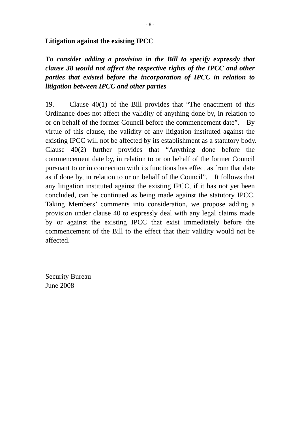### **Litigation against the existing IPCC**

*To consider adding a provision in the Bill to specify expressly that clause 38 would not affect the respective rights of the IPCC and other parties that existed before the incorporation of IPCC in relation to litigation between IPCC and other parties* 

19. Clause 40(1) of the Bill provides that "The enactment of this Ordinance does not affect the validity of anything done by, in relation to or on behalf of the former Council before the commencement date". By virtue of this clause, the validity of any litigation instituted against the existing IPCC will not be affected by its establishment as a statutory body. Clause 40(2) further provides that "Anything done before the commencement date by, in relation to or on behalf of the former Council pursuant to or in connection with its functions has effect as from that date as if done by, in relation to or on behalf of the Council". It follows that any litigation instituted against the existing IPCC, if it has not yet been concluded, can be continued as being made against the statutory IPCC. Taking Members' comments into consideration, we propose adding a provision under clause 40 to expressly deal with any legal claims made by or against the existing IPCC that exist immediately before the commencement of the Bill to the effect that their validity would not be affected.

Security Bureau June 2008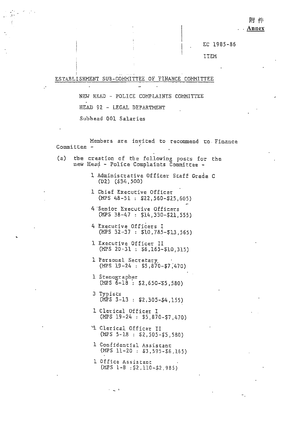附 件

. Annex

EC 1985-86

ITEM

### ESTABLISHMENT SUB-COMMITTEE OF FINANCE COMMITTEE

NEW HEAD - POLICE COMPLAINTS COMMITTEE HEAD 92 - LEGAL DEPARTMENT Subbead 001 Salaries

Members are invited to recommend to Finance Committee -

the creation of the following posts for the  $(a)$ new Head - Police Complaints Committee -

> 1 Administrative Officer Staff Grade C  $(D2)$   $(534, 500)$

- 1 Chief Executive Officer  $(MPS 48-51 : $22,560-$25,605)$
- 4 Senior Executive Officers  $(MPS 38-47 : $14,330-521,555)$
- 4 Executive Officers I (MPS 32-37 : \$10,785-\$13,565)
- 1 Executive Officer II  $(MPS 20-31 : $6.165-10.315)$
- 1 Personal Secretary  $(MPS 19-24 : $5,870-47,470)$
- l Stenographer  $(MPS 6-18 : $2,650-55,580)$
- 3 Typists  $(MPS 3-13 : $2,305-54,155)$
- 1 Clerical Officer I  $(MPS 19-24 : S5, 870-57, 470)$
- L Clerical Officer II  $(MPS 5-18 : $2,505-55.580)$
- 1 Confidential Assistant  $(MPS 11-20 : $3,595-56,165)$
- 1 Office Assistant  $(MPS 1-B 152,110-52,985)$

 $\alpha = 1/2$  .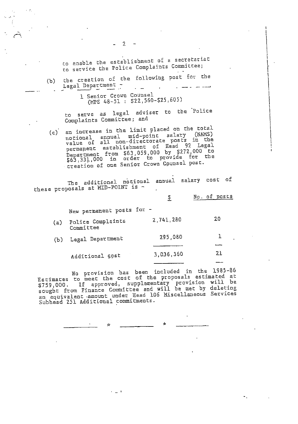to enable the establishment of a secretariat to service the Police Complaints Committee;

the creation of the following post for the  $(b)$ Legal Department فتتبد المترا الراعيتين أن  $\ddot{\phantom{0}}$ 

 $\overline{2}$ 

1 Senior Grown Counsel (MPS 48-51 : \$22,560-\$25,605)

to serve as legal adviser to the Police Complaints Committee; and

(c) an increase in the limit placed on the total notional annual mid-point salary (NAMS) value of all non-directorate posts in the permanent establishment of Head 92 Legal<br>Department from \$63,059,000 by \$272,000 to<br>\$63,331,000 in order to provide for the<br>areation of the finite form fluid areation for creation of one Senior Crown Counsel post.

The additional notional annual salary cost of these proposals at MID-POINT is -

|     |                                | \$        | No. of posts |
|-----|--------------------------------|-----------|--------------|
|     | New permanent posts for -      |           |              |
| (a) | Police Complaints<br>Committee | 2,741,280 | 20           |
| (b) | Legal Department               | 295,080   |              |
|     | Additional cost                | 3,036,360 | 21           |
|     |                                |           |              |

No provision has been included in the 1985-86<br>Estimates to meet the cost of the proposals estimated at And the Community provision will be<br>sought from Finance Committee and will be met by deleting<br>an equivalent amount under Head 106 Miscellaneous Services<br>Subhead 251 Additional commitments.

 $\sim$   $\sim$   $\sim$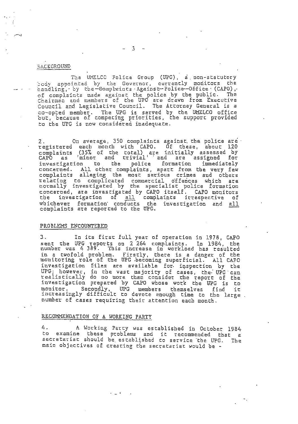#### **BACKGROUND**

The UMELCO Folice Group (UPG), a non-statutory body appointed by the Governor, currently monitors the handling, by the-Complaints Against-Police-Office (CAPO), of complaints made against the police by the public. The<br>Chairman and members of the UPC are drawn from Executive<br>Council and Legislative Council. The Attorney General is a co-opted member. The UPG is served by the UMELCO office<br>but, because of competing priorities, the support provided to the UPC is now considered inadequate.

2. On average, 350 complaints against the police are<br>registered each monch with CAPO. Of these, about 120<br>complaints (35% of the total) are initially assessed by<br>CAPO as 'minor and trivial' and are assigned for<br>investigati On average, 350 complaints against the police are  $2.$ whichever formation conducts the investigation and all complaints are reported to the UPG.

#### PROBLEMS ENCOUNTERED

З. In its first full year of operation in 1978, CAPO sent the UPG reports on 2 264 complaints. In 1984, the<br>number was 4 389. This increase in workload has resulted in a twofold problem. Firstly, there is a danger of the<br>monitoring role of the UPG becoming superficial. All CAPO<br>investigation files are available for inspection by the UPG; however, in the vast majority of cases, the UPG can<br>realistically do no more than consider the report of the<br>investigation prepared by CAPO whose work the UPG is to<br>monitor. Secondly, UPG members themselves find it<br>in number of cases requiring their attention each month.

#### RECOMMENDATION OF A WORKING PARTY

4. A Working Party was established in October 1984 to examine these problems and it recommended that a<br>secretariat should be established to service the UPG. The main objectives of creating the secretariat would be -

 $-3 - -$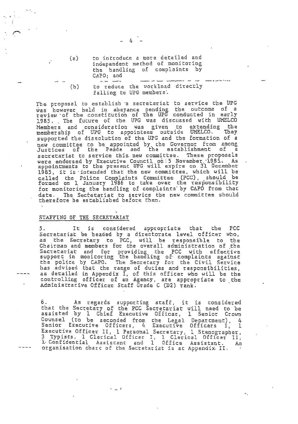- $-4$
- to introduce a more detailed and  $(z)$ independent method of monitoring the handling of complaints by CAPO; and

to reduce the workload directly  $(b)$ falling to UPG members.

The proposal to establish a secretariat to service the UPG was however held in abeyance pending the outcome of a<br>review of the constitution of the UPG conducted in early<br>1985. The future of the UPG was discussed with UMELCO Members and consideration was given to extending the<br>membership of UPG to appointees outside UMELCO. They<br>supported the dissolution of the UPG and the formation of a new committee to be appointed by the Governor from among<br>Justices of the Peace and the establishment of a secretariat to service this new committee. These proposals<br>were endorsed by Executive Council on:5 November 1985. As<br>appointments to the present UPG will expire on 31 December<br>1985, it is intended that the new committee, w called the Police Complaints Committee (PCC), should be<br>formed on 1 January 1986 to take over the responsibility<br>for monitoring the bandling of complaints by CAPO from that date. The Sectetariat to service the new committee should therefore be established before then.

### STAFFING OF THE SECRETARIAT

It is considered appropriate that the PCC Secretariat be headed by a directorate level officer who, as the Secretary to PCC, will be responsible to the<br>Chairman and members for the overall administration of the Secretariat and for providing the PCC with effective<br>support in monitoring the handling of complaints against<br>the police by CAPO. The Secretary for the Civil Service<br>has advised that the range of duries and responsibilitie as detailed in Appendix I, of this officer who will be the<br>controlling officer of an Agency, are appropriate to the<br>Administracive Officer Staff Grade C (D2) rank.

6. As regards supporting staff, it is considered<br>that the Secretary of the PCC Secretariat will need to be<br>assisted by 1 Chief Executive Officer, 1 Senior Crown<br>Counsel (to be seconded from the Legal Department), 4<br>Senior Executive Officer II, 1 Personal Secretary, 1 Stenographer,<br>3 Typists, 1 Clerical Officer I, 1 Clerical Officer II,<br>1 Confidential Assistant and 1 Dffice Assistant, An Ап organisation chard of the Secretariat is at Appendix II.

 $\epsilon = 1/2$ 

----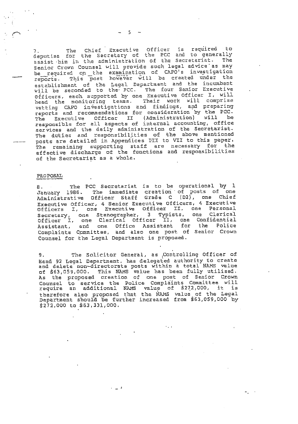7. The Chief Executive Officer is required to<br>deputise for the Secretary of the PCC and to generally assist him in the administration of the Secretariat. The Senior Crown Counsel will provide such legal advice as may be required on the examination of CAPO's investigation This post however will be created under the reports. establishment of the Legal Department and the incumbent<br>will be seconded to the PCC. The four Senior Executive<br>Officers, each supported by one Executive Officer I, will bead the monitoring teams. Their work will comprise<br>vetting CAPO investigations and findings, and preparing<br>reports and recommendations for consideration by the PCC.<br>The Executive Officer II (Administration) will be responsible for all aspects of internal accounting, office services and the daily administration of the Secretariat. The duties and responsibilities of the above mentioned posts are detailed in Appendices III to VII to this paper. The remaining supporting staff are necessary for the effective discharge of the functions and responsibilities of the Secretariat as a whole.

#### PROPOSAL

B. The PCC Secretariat is to be operational by 1<br>January 1986. The immediate creation of posts of one<br>Administrative Officer Staff Grade C (D2), one Chief<br>Executive Officer, 4 Senior Executive Officers, 4 Executive<br>Executi Continue of the Complete Complete Control of the Complete Complete Complete Complete Complete Complete Complete Complete Complete Complete Complete Complete Complete Complete Complete Complete Complete Complete Complete Co Counsel for the Legal Department is proposed.

The Solicitor General, as Controlling Officer of 9. Head 92 Legal Department, has delegated authority to create and delete non-directorate posts within a total NAMS value of \$63,059,000. This NAMS value has been fully utilised.<br>As the proposed creation of one post of Senior Crown<br>Counsel to service the Police Complaints Committee will<br>require an additional NAMS value of \$272,000, it is<br>ther \$272,000 to \$63,331,000.

فالساد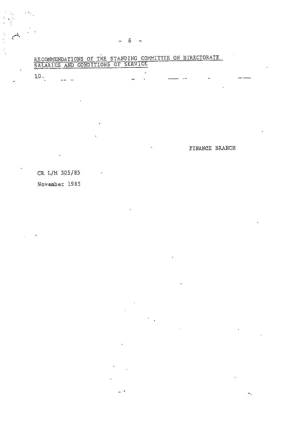|                               |     | SALARIES AND CONDITIONS OF SERVICE |  |
|-------------------------------|-----|------------------------------------|--|
|                               |     |                                    |  |
| 10<br>the control of the con- | --- |                                    |  |
|                               |     |                                    |  |

RECOMMENDATIONS OF THE STANDING COMMITTEE ON DIRECTORATE

L.

FINANCE BRANCH

CR L/M 305/85

 $\ddot{\phantom{a}}$ 

 $\delta_{\rm{in}}$ 

November 1985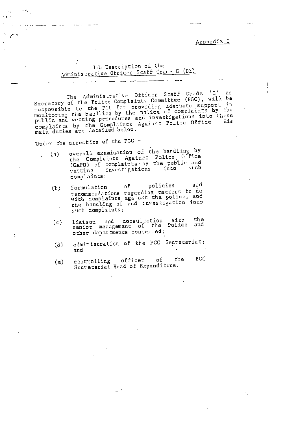Appendix I

### Job Description of the Administrative Officer Staff Grade C (D2)

The Administrative Officer Staff Grade 'C' as The Administrative Uniter Scarf Grade (U) as<br>Secretary of the Police Complaints Committee (PGC), will be<br>responsible to the PCC for providing adequate support in<br>monitoring the handling by the police of complaints by the<br>p

Under the direction of the PCC -

 $\Lambda$  ,  $\Lambda$ 

r, e

- overall examination of the handling by  $(a)$ the Complaints Against Police Office<br>(CAPO) of complaints by the public and<br>vetting investigations into such complaints;
	- and policies o E formulation  $(b)$ recommendations regarding matters to do<br>with complaints against the police, and<br>the handling of and investigation into such complaints;
	- liaison and consultation with the<br>senior management of the Police and  $(c)$ other departments concerned;
	- administration of the PCC Secretariat;  $(d)$ and
	- PCC che controlling officer o f  $(e)$ Secretatiat Head of Expenditure.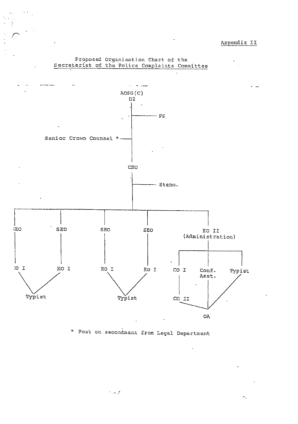

Proposed Organisation Chart of the Secretariat of the Police Complaints Committee

\* Post on secondment from Legal Department

 $\gamma = \gamma^2$ 

 $\ddot{\phantom{0}}$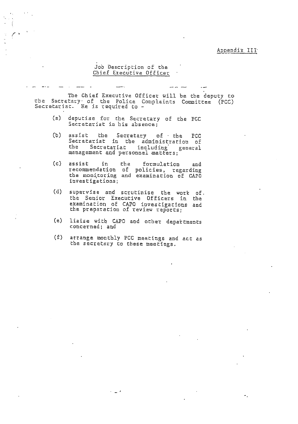Job Description of the Chief Executive Officer

The Chief Executive Officer will be the deputy co the Secretary of the Police Complaints Committee (PCC)<br>Secretariat. He is required to -

- (a) deputise for the Secretary of the PGC<br>Secretariat in his absence;
- (b) assist the Secretary of the PCC<br>Secretariat in the administration of the Secretariat including general management and personnel matters;
- assist in the formulation and<br>recommendation of policies, regarding<br>the monitoring and examination of CAPO  $(c)$  assist investigations;
- (d) supervise and scrutinise the work of. the Senior Executive Officers in the<br>examination of CAPO investigations and the preparation of review reports;
- liaise with CAPO and other departments  $(e)$ concerned; and
- $(f)$ atrange monthly PCC meetings and act as the secretary to these meetings.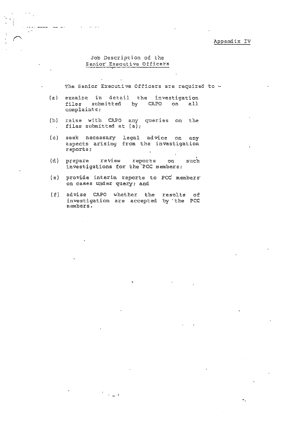#### Appendix IV

۳.

### Job Description of the Senior Executive Officers

 $\sim$  and  $\sim$  and

المستنب السيستان

The Senior Executive Officers are required to -

- (a) examine in detail the investigation files submitted by CAPO on all complaints:
- (b) raise with CAPO any queries on the files submitted at (a);  $\sim$
- (c) seek necessary legal advice on any<br>aspects arising from the investigation reports;
- (d) prepare review reports on such investigations for the PCC members;
- (e) provide interim reports to PCC members on cases under query; and
- (f) advise CAPO whether the results of investigation are accepted by the PCC members.

 $\frac{1}{\sqrt{2}}\left(\frac{1}{\sqrt{2}}\right)^{\frac{1}{2}}$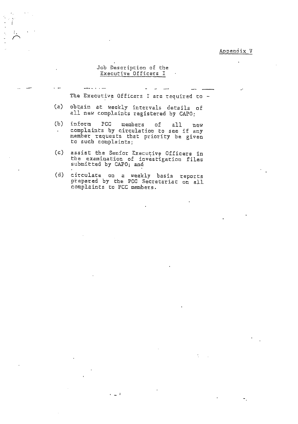#### Appendix V

#### Job Description of the Executive Officers I

The Executive Officers I are required to -

- obtain at weekly intervals details of<br>all new complaints registered by CAPO;  $(z)$
- $(b)$ PCC inform members of  $alll$  $new$ complaints by circulation to see if any  $\bullet$ member requests that priority be given to such complaints;
- $(c)$ assist the Senior Executive Officers in the examination of investigation files submitted by CAPO; and
- circulate on a weekly basis reports<br>prepared by the PCC Secretariat on all  $(d)$ complaints to PCC members.

 $\epsilon_{\rm{max}}$  :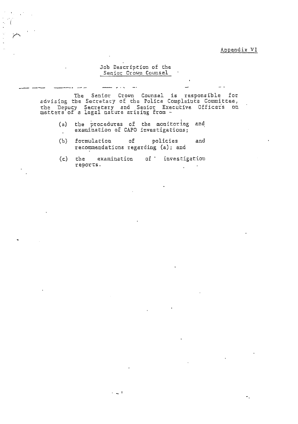### Appendix VI

### Job Description of the Senior Crown Counsel

<u>.</u> . .

The Senior Crown Counsel is responsible for<br>advising the Secretary of the Police Complaints Committee,<br>the Depucy Secretary and Senior Executive Officers on<br>matters of a legal nature arising from -

- the procedures of the monitoring and<br>examination of CAPO investigations;  $(a)$  $\ddot{\phantom{a}}$
- $(b)$ formulation of policies and recommendations regarding (a); and
- $(c)$ the examination of investigation reports.  $\ddot{\phantom{a}}$

 $\epsilon = \frac{1}{2\pi\epsilon}$  .  $\frac{1}{2\pi}$